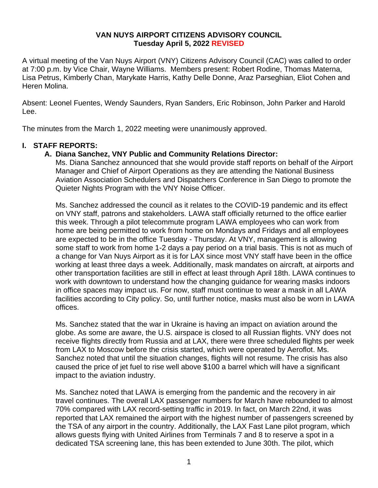## **VAN NUYS AIRPORT CITIZENS ADVISORY COUNCIL Tuesday April 5, 2022 REVISED**

A virtual meeting of the Van Nuys Airport (VNY) Citizens Advisory Council (CAC) was called to order at 7:00 p.m. by Vice Chair, Wayne Williams. Members present: Robert Rodine, Thomas Materna, Lisa Petrus, Kimberly Chan, Marykate Harris, Kathy Delle Donne, Araz Parseghian, Eliot Cohen and Heren Molina.

Absent: Leonel Fuentes, Wendy Saunders, Ryan Sanders, Eric Robinson, John Parker and Harold Lee.

The minutes from the March 1, 2022 meeting were unanimously approved.

#### **I. STAFF REPORTS:**

#### **A. Diana Sanchez, VNY Public and Community Relations Director:**

Ms. Diana Sanchez announced that she would provide staff reports on behalf of the Airport Manager and Chief of Airport Operations as they are attending the National Business Aviation Association Schedulers and Dispatchers Conference in San Diego to promote the Quieter Nights Program with the VNY Noise Officer.

Ms. Sanchez addressed the council as it relates to the COVID-19 pandemic and its effect on VNY staff, patrons and stakeholders. LAWA staff officially returned to the office earlier this week. Through a pilot telecommute program LAWA employees who can work from home are being permitted to work from home on Mondays and Fridays and all employees are expected to be in the office Tuesday - Thursday. At VNY, management is allowing some staff to work from home 1-2 days a pay period on a trial basis. This is not as much of a change for Van Nuys Airport as it is for LAX since most VNY staff have been in the office working at least three days a week. Additionally, mask mandates on aircraft, at airports and other transportation facilities are still in effect at least through April 18th. LAWA continues to work with downtown to understand how the changing guidance for wearing masks indoors in office spaces may impact us. For now, staff must continue to wear a mask in all LAWA facilities according to City policy. So, until further notice, masks must also be worn in LAWA offices.

Ms. Sanchez stated that the war in Ukraine is having an impact on aviation around the globe. As some are aware, the U.S. airspace is closed to all Russian flights. VNY does not receive flights directly from Russia and at LAX, there were three scheduled flights per week from LAX to Moscow before the crisis started, which were operated by Aeroflot. Ms. Sanchez noted that until the situation changes, flights will not resume. The crisis has also caused the price of jet fuel to rise well above \$100 a barrel which will have a significant impact to the aviation industry.

Ms. Sanchez noted that LAWA is emerging from the pandemic and the recovery in air travel continues. The overall LAX passenger numbers for March have rebounded to almost 70% compared with LAX record-setting traffic in 2019. In fact, on March 22nd, it was reported that LAX remained the airport with the highest number of passengers screened by the TSA of any airport in the country. Additionally, the LAX Fast Lane pilot program, which allows guests flying with United Airlines from Terminals 7 and 8 to reserve a spot in a dedicated TSA screening lane, this has been extended to June 30th. The pilot, which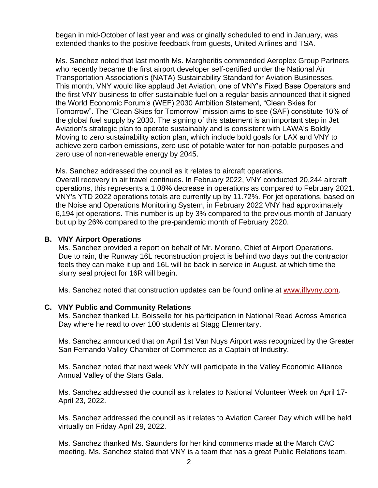began in mid-October of last year and was originally scheduled to end in January, was extended thanks to the positive feedback from guests, United Airlines and TSA.

Ms. Sanchez noted that last month Ms. Margheritis commended Aeroplex Group Partners who recently became the first airport developer self-certified under the National Air Transportation Association's (NATA) Sustainability Standard for Aviation Businesses. This month, VNY would like applaud Jet Aviation, one of VNY's Fixed Base Operators and the first VNY business to offer sustainable fuel on a regular basis announced that it signed the World Economic Forum's (WEF) 2030 Ambition Statement, "Clean Skies for Tomorrow". The "Clean Skies for Tomorrow" mission aims to see (SAF) constitute 10% of the global fuel supply by 2030. The signing of this statement is an important step in Jet Aviation's strategic plan to operate sustainably and is consistent with LAWA's Boldly Moving to zero sustainability action plan, which include bold goals for LAX and VNY to achieve zero carbon emissions, zero use of potable water for non-potable purposes and zero use of non-renewable energy by 2045.

Ms. Sanchez addressed the council as it relates to aircraft operations. Overall recovery in air travel continues. In February 2022, VNY conducted 20,244 aircraft operations, this represents a 1.08% decrease in operations as compared to February 2021. VNY's YTD 2022 operations totals are currently up by 11.72%. For jet operations, based on the Noise and Operations Monitoring System, in February 2022 VNY had approximately 6,194 jet operations. This number is up by 3% compared to the previous month of January but up by 26% compared to the pre-pandemic month of February 2020.

# **B. VNY Airport Operations**

Ms. Sanchez provided a report on behalf of Mr. Moreno, Chief of Airport Operations. Due to rain, the Runway 16L reconstruction project is behind two days but the contractor feels they can make it up and 16L will be back in service in August, at which time the slurry seal project for 16R will begin.

Ms. Sanchez noted that construction updates can be found online at [www.iflyvny.com.](http://www.iflyvny.com/)

# **C. VNY Public and Community Relations**

Ms. Sanchez thanked Lt. Boisselle for his participation in National Read Across America Day where he read to over 100 students at Stagg Elementary.

Ms. Sanchez announced that on April 1st Van Nuys Airport was recognized by the Greater San Fernando Valley Chamber of Commerce as a Captain of Industry.

Ms. Sanchez noted that next week VNY will participate in the Valley Economic Alliance Annual Valley of the Stars Gala.

Ms. Sanchez addressed the council as it relates to National Volunteer Week on April 17- April 23, 2022.

Ms. Sanchez addressed the council as it relates to Aviation Career Day which will be held virtually on Friday April 29, 2022.

Ms. Sanchez thanked Ms. Saunders for her kind comments made at the March CAC meeting. Ms. Sanchez stated that VNY is a team that has a great Public Relations team.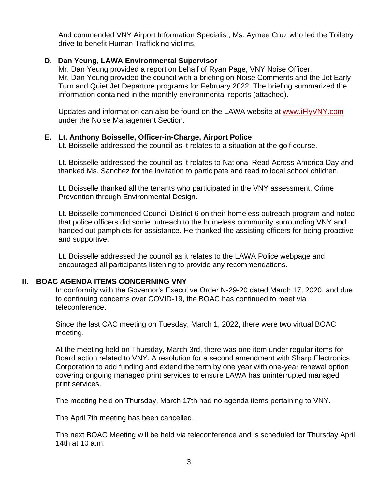And commended VNY Airport Information Specialist, Ms. Aymee Cruz who led the Toiletry drive to benefit Human Trafficking victims.

# **D. Dan Yeung, LAWA Environmental Supervisor**

Mr. Dan Yeung provided a report on behalf of Ryan Page, VNY Noise Officer. Mr. Dan Yeung provided the council with a briefing on Noise Comments and the Jet Early Turn and Quiet Jet Departure programs for February 2022. The briefing summarized the information contained in the monthly environmental reports (attached).

Updates and information can also be found on the LAWA website at [www.iFlyVNY.com](http://www.iflyvny.com/) under the Noise Management Section.

# **E. Lt. Anthony Boisselle, Officer-in-Charge, Airport Police**

Lt. Boisselle addressed the council as it relates to a situation at the golf course.

Lt. Boisselle addressed the council as it relates to National Read Across America Day and thanked Ms. Sanchez for the invitation to participate and read to local school children.

Lt. Boisselle thanked all the tenants who participated in the VNY assessment, Crime Prevention through Environmental Design.

Lt. Boisselle commended Council District 6 on their homeless outreach program and noted that police officers did some outreach to the homeless community surrounding VNY and handed out pamphlets for assistance. He thanked the assisting officers for being proactive and supportive.

Lt. Boisselle addressed the council as it relates to the LAWA Police webpage and encouraged all participants listening to provide any recommendations.

# **II. BOAC AGENDA ITEMS CONCERNING VNY**

In conformity with the Governor's Executive Order N-29-20 dated March 17, 2020, and due to continuing concerns over COVID-19, the BOAC has continued to meet via teleconference.

Since the last CAC meeting on Tuesday, March 1, 2022, there were two virtual BOAC meeting.

At the meeting held on Thursday, March 3rd, there was one item under regular items for Board action related to VNY. A resolution for a second amendment with Sharp Electronics Corporation to add funding and extend the term by one year with one-year renewal option covering ongoing managed print services to ensure LAWA has uninterrupted managed print services.

The meeting held on Thursday, March 17th had no agenda items pertaining to VNY.

The April 7th meeting has been cancelled.

The next BOAC Meeting will be held via teleconference and is scheduled for Thursday April 14th at 10 a.m.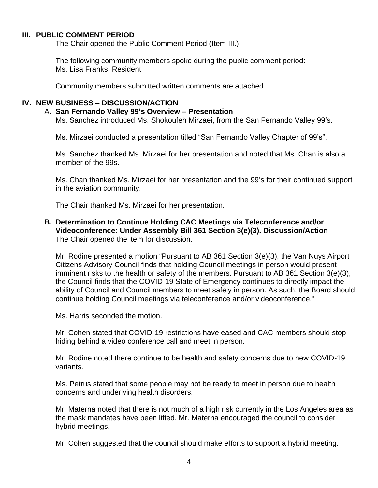#### **III. PUBLIC COMMENT PERIOD**

The Chair opened the Public Comment Period (Item III.)

The following community members spoke during the public comment period: Ms. Lisa Franks, Resident

Community members submitted written comments are attached.

# **IV. NEW BUSINESS – DISCUSSION/ACTION**

# A. **San Fernando Valley 99's Overview – Presentation**

Ms. Sanchez introduced Ms. Shokoufeh Mirzaei, from the San Fernando Valley 99's.

Ms. Mirzaei conducted a presentation titled "San Fernando Valley Chapter of 99's".

Ms. Sanchez thanked Ms. Mirzaei for her presentation and noted that Ms. Chan is also a member of the 99s.

Ms. Chan thanked Ms. Mirzaei for her presentation and the 99's for their continued support in the aviation community.

The Chair thanked Ms. Mirzaei for her presentation.

**B. Determination to Continue Holding CAC Meetings via Teleconference and/or Videoconference: Under Assembly Bill 361 Section 3(e)(3). Discussion/Action** The Chair opened the item for discussion.

Mr. Rodine presented a motion "Pursuant to AB 361 Section 3(e)(3), the Van Nuys Airport Citizens Advisory Council finds that holding Council meetings in person would present imminent risks to the health or safety of the members. Pursuant to AB 361 Section 3(e)(3), the Council finds that the COVID-19 State of Emergency continues to directly impact the ability of Council and Council members to meet safely in person. As such, the Board should continue holding Council meetings via teleconference and/or videoconference."

Ms. Harris seconded the motion.

Mr. Cohen stated that COVID-19 restrictions have eased and CAC members should stop hiding behind a video conference call and meet in person.

Mr. Rodine noted there continue to be health and safety concerns due to new COVID-19 variants.

Ms. Petrus stated that some people may not be ready to meet in person due to health concerns and underlying health disorders.

Mr. Materna noted that there is not much of a high risk currently in the Los Angeles area as the mask mandates have been lifted. Mr. Materna encouraged the council to consider hybrid meetings.

Mr. Cohen suggested that the council should make efforts to support a hybrid meeting.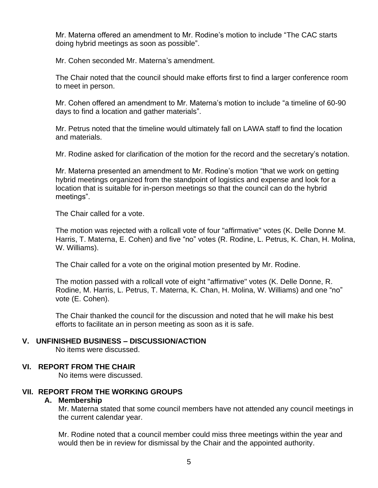Mr. Materna offered an amendment to Mr. Rodine's motion to include "The CAC starts doing hybrid meetings as soon as possible".

Mr. Cohen seconded Mr. Materna's amendment.

The Chair noted that the council should make efforts first to find a larger conference room to meet in person.

Mr. Cohen offered an amendment to Mr. Materna's motion to include "a timeline of 60-90 days to find a location and gather materials".

Mr. Petrus noted that the timeline would ultimately fall on LAWA staff to find the location and materials.

Mr. Rodine asked for clarification of the motion for the record and the secretary's notation.

Mr. Materna presented an amendment to Mr. Rodine's motion "that we work on getting hybrid meetings organized from the standpoint of logistics and expense and look for a location that is suitable for in-person meetings so that the council can do the hybrid meetings".

The Chair called for a vote.

The motion was rejected with a rollcall vote of four "affirmative" votes (K. Delle Donne M. Harris, T. Materna, E. Cohen) and five "no" votes (R. Rodine, L. Petrus, K. Chan, H. Molina, W. Williams).

The Chair called for a vote on the original motion presented by Mr. Rodine.

The motion passed with a rollcall vote of eight "affirmative" votes (K. Delle Donne, R. Rodine, M. Harris, L. Petrus, T. Materna, K. Chan, H. Molina, W. Williams) and one "no" vote (E. Cohen).

The Chair thanked the council for the discussion and noted that he will make his best efforts to facilitate an in person meeting as soon as it is safe.

#### **V. UNFINISHED BUSINESS – DISCUSSION/ACTION**

No items were discussed.

#### **VI. REPORT FROM THE CHAIR**

No items were discussed.

#### **VII. REPORT FROM THE WORKING GROUPS**

#### **A. Membership**

Mr. Materna stated that some council members have not attended any council meetings in the current calendar year.

Mr. Rodine noted that a council member could miss three meetings within the year and would then be in review for dismissal by the Chair and the appointed authority.